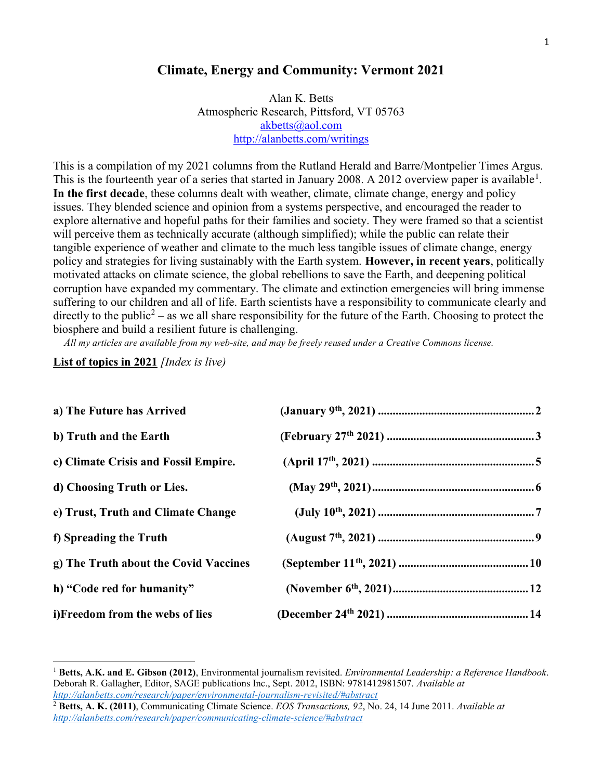#### Climate, Energy and Community: Vermont 2021

Alan K. Betts Atmospheric Research, Pittsford, VT 05763 akbetts@aol.com http://alanbetts.com/writings

This is a compilation of my 2021 columns from the Rutland Herald and Barre/Montpelier Times Argus. This is the fourteenth year of a series that started in January 2008. A 2012 overview paper is available<sup>1</sup>. In the first decade, these columns dealt with weather, climate, climate change, energy and policy issues. They blended science and opinion from a systems perspective, and encouraged the reader to explore alternative and hopeful paths for their families and society. They were framed so that a scientist will perceive them as technically accurate (although simplified); while the public can relate their tangible experience of weather and climate to the much less tangible issues of climate change, energy policy and strategies for living sustainably with the Earth system. However, in recent years, politically motivated attacks on climate science, the global rebellions to save the Earth, and deepening political corruption have expanded my commentary. The climate and extinction emergencies will bring immense suffering to our children and all of life. Earth scientists have a responsibility to communicate clearly and directly to the public<sup>2</sup> – as we all share responsibility for the future of the Earth. Choosing to protect the biosphere and build a resilient future is challenging.

All my articles are available from my web-site, and may be freely reused under a Creative Commons license.

List of topics in 2021 [Index is live]

 $\overline{a}$ 

| a) The Future has Arrived             |  |
|---------------------------------------|--|
| b) Truth and the Earth                |  |
| c) Climate Crisis and Fossil Empire.  |  |
| d) Choosing Truth or Lies.            |  |
| e) Trust, Truth and Climate Change    |  |
| f) Spreading the Truth                |  |
| g) The Truth about the Covid Vaccines |  |
| h) "Code red for humanity"            |  |
| i)Freedom from the webs of lies       |  |

Betts, A.K. and E. Gibson (2012), Environmental journalism revisited. Environmental Leadership: a Reference Handbook. Deborah R. Gallagher, Editor, SAGE publications Inc., Sept. 2012, ISBN: 9781412981507. Available at http://alanbetts.com/research/paper/environmental-journalism-revisited/#abstract

 $^2$  Betts, A. K. (2011), Communicating Climate Science. EOS Transactions, 92, No. 24, 14 June 2011. Available at http://alanbetts.com/research/paper/communicating-climate-science/#abstract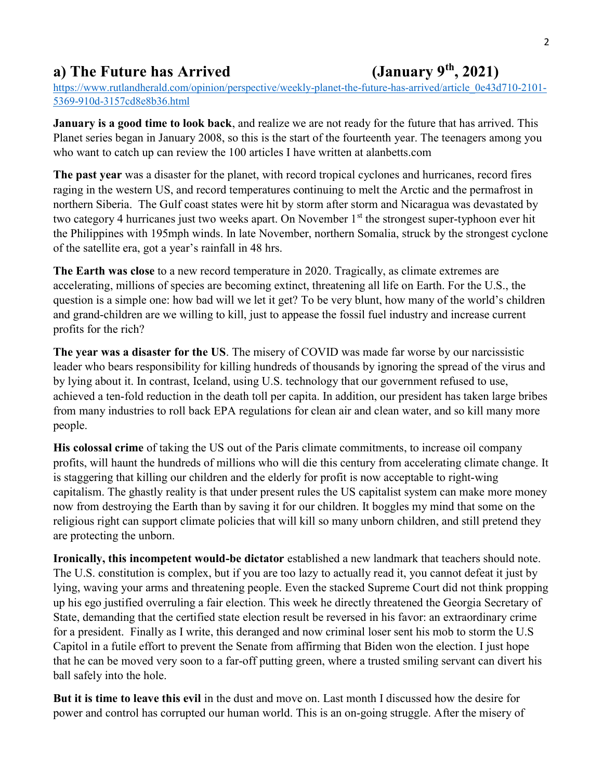## a) The Future has Arrived  $(January 9<sup>th</sup>, 2021)$

https://www.rutlandherald.com/opinion/perspective/weekly-planet-the-future-has-arrived/article\_0e43d710-2101- 5369-910d-3157cd8e8b36.html

January is a good time to look back, and realize we are not ready for the future that has arrived. This Planet series began in January 2008, so this is the start of the fourteenth year. The teenagers among you who want to catch up can review the 100 articles I have written at alanbetts.com

The past year was a disaster for the planet, with record tropical cyclones and hurricanes, record fires raging in the western US, and record temperatures continuing to melt the Arctic and the permafrost in northern Siberia. The Gulf coast states were hit by storm after storm and Nicaragua was devastated by two category 4 hurricanes just two weeks apart. On November 1<sup>st</sup> the strongest super-typhoon ever hit the Philippines with 195mph winds. In late November, northern Somalia, struck by the strongest cyclone of the satellite era, got a year's rainfall in 48 hrs.

The Earth was close to a new record temperature in 2020. Tragically, as climate extremes are accelerating, millions of species are becoming extinct, threatening all life on Earth. For the U.S., the question is a simple one: how bad will we let it get? To be very blunt, how many of the world's children and grand-children are we willing to kill, just to appease the fossil fuel industry and increase current profits for the rich?

The year was a disaster for the US. The misery of COVID was made far worse by our narcissistic leader who bears responsibility for killing hundreds of thousands by ignoring the spread of the virus and by lying about it. In contrast, Iceland, using U.S. technology that our government refused to use, achieved a ten-fold reduction in the death toll per capita. In addition, our president has taken large bribes from many industries to roll back EPA regulations for clean air and clean water, and so kill many more people.

His colossal crime of taking the US out of the Paris climate commitments, to increase oil company profits, will haunt the hundreds of millions who will die this century from accelerating climate change. It is staggering that killing our children and the elderly for profit is now acceptable to right-wing capitalism. The ghastly reality is that under present rules the US capitalist system can make more money now from destroying the Earth than by saving it for our children. It boggles my mind that some on the religious right can support climate policies that will kill so many unborn children, and still pretend they are protecting the unborn.

Ironically, this incompetent would-be dictator established a new landmark that teachers should note. The U.S. constitution is complex, but if you are too lazy to actually read it, you cannot defeat it just by lying, waving your arms and threatening people. Even the stacked Supreme Court did not think propping up his ego justified overruling a fair election. This week he directly threatened the Georgia Secretary of State, demanding that the certified state election result be reversed in his favor: an extraordinary crime for a president. Finally as I write, this deranged and now criminal loser sent his mob to storm the U.S Capitol in a futile effort to prevent the Senate from affirming that Biden won the election. I just hope that he can be moved very soon to a far-off putting green, where a trusted smiling servant can divert his ball safely into the hole.

But it is time to leave this evil in the dust and move on. Last month I discussed how the desire for power and control has corrupted our human world. This is an on-going struggle. After the misery of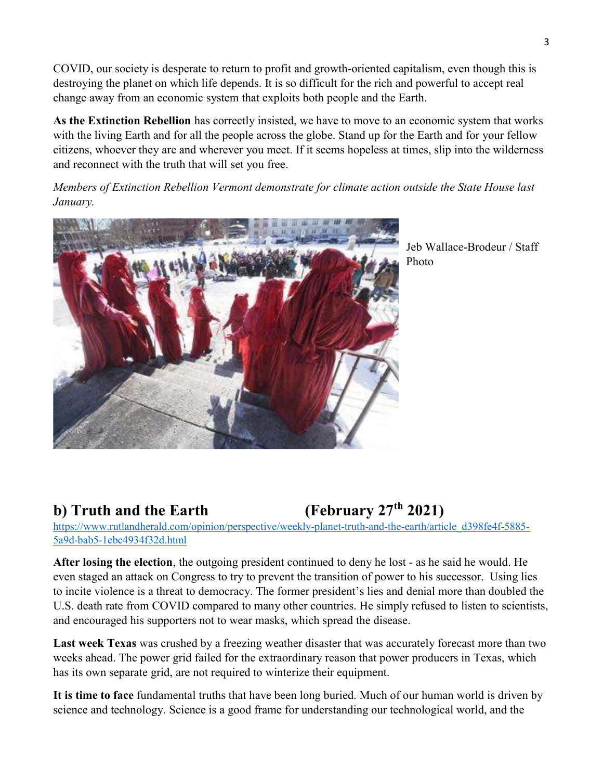COVID, our society is desperate to return to profit and growth-oriented capitalism, even though this is destroying the planet on which life depends. It is so difficult for the rich and powerful to accept real change away from an economic system that exploits both people and the Earth.

As the Extinction Rebellion has correctly insisted, we have to move to an economic system that works with the living Earth and for all the people across the globe. Stand up for the Earth and for your fellow citizens, whoever they are and wherever you meet. If it seems hopeless at times, slip into the wilderness and reconnect with the truth that will set you free.

Members of Extinction Rebellion Vermont demonstrate for climate action outside the State House last January.



Jeb Wallace-Brodeur / Staff Photo

# b) Truth and the Earth  $(February 27<sup>th</sup> 2021)$

https://www.rutlandherald.com/opinion/perspective/weekly-planet-truth-and-the-earth/article\_d398fe4f-5885- 5a9d-bab5-1ebc4934f32d.html

After losing the election, the outgoing president continued to deny he lost - as he said he would. He even staged an attack on Congress to try to prevent the transition of power to his successor. Using lies to incite violence is a threat to democracy. The former president's lies and denial more than doubled the U.S. death rate from COVID compared to many other countries. He simply refused to listen to scientists, and encouraged his supporters not to wear masks, which spread the disease.

Last week Texas was crushed by a freezing weather disaster that was accurately forecast more than two weeks ahead. The power grid failed for the extraordinary reason that power producers in Texas, which has its own separate grid, are not required to winterize their equipment.

It is time to face fundamental truths that have been long buried. Much of our human world is driven by science and technology. Science is a good frame for understanding our technological world, and the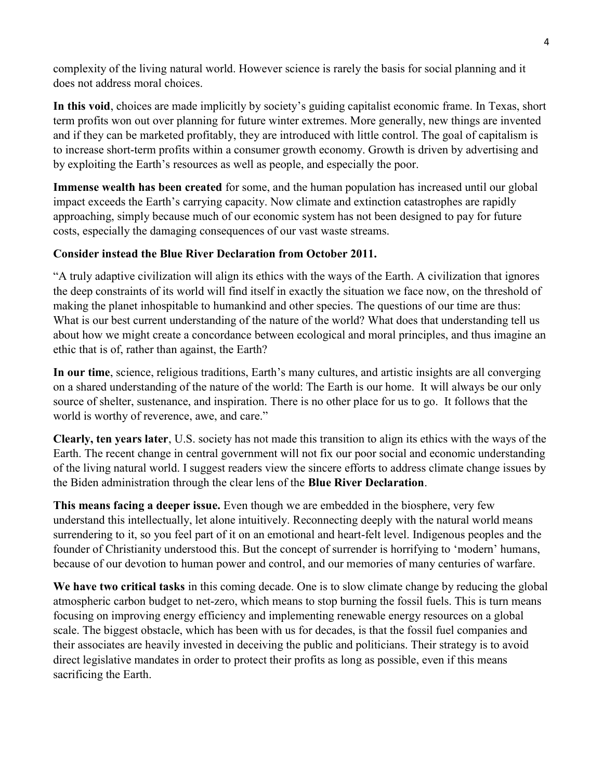complexity of the living natural world. However science is rarely the basis for social planning and it does not address moral choices.

In this void, choices are made implicitly by society's guiding capitalist economic frame. In Texas, short term profits won out over planning for future winter extremes. More generally, new things are invented and if they can be marketed profitably, they are introduced with little control. The goal of capitalism is to increase short-term profits within a consumer growth economy. Growth is driven by advertising and by exploiting the Earth's resources as well as people, and especially the poor.

Immense wealth has been created for some, and the human population has increased until our global impact exceeds the Earth's carrying capacity. Now climate and extinction catastrophes are rapidly approaching, simply because much of our economic system has not been designed to pay for future costs, especially the damaging consequences of our vast waste streams.

#### Consider instead the Blue River Declaration from October 2011.

"A truly adaptive civilization will align its ethics with the ways of the Earth. A civilization that ignores the deep constraints of its world will find itself in exactly the situation we face now, on the threshold of making the planet inhospitable to humankind and other species. The questions of our time are thus: What is our best current understanding of the nature of the world? What does that understanding tell us about how we might create a concordance between ecological and moral principles, and thus imagine an ethic that is of, rather than against, the Earth?

In our time, science, religious traditions, Earth's many cultures, and artistic insights are all converging on a shared understanding of the nature of the world: The Earth is our home. It will always be our only source of shelter, sustenance, and inspiration. There is no other place for us to go. It follows that the world is worthy of reverence, awe, and care."

Clearly, ten years later, U.S. society has not made this transition to align its ethics with the ways of the Earth. The recent change in central government will not fix our poor social and economic understanding of the living natural world. I suggest readers view the sincere efforts to address climate change issues by the Biden administration through the clear lens of the Blue River Declaration.

This means facing a deeper issue. Even though we are embedded in the biosphere, very few understand this intellectually, let alone intuitively. Reconnecting deeply with the natural world means surrendering to it, so you feel part of it on an emotional and heart-felt level. Indigenous peoples and the founder of Christianity understood this. But the concept of surrender is horrifying to 'modern' humans, because of our devotion to human power and control, and our memories of many centuries of warfare.

We have two critical tasks in this coming decade. One is to slow climate change by reducing the global atmospheric carbon budget to net-zero, which means to stop burning the fossil fuels. This is turn means focusing on improving energy efficiency and implementing renewable energy resources on a global scale. The biggest obstacle, which has been with us for decades, is that the fossil fuel companies and their associates are heavily invested in deceiving the public and politicians. Their strategy is to avoid direct legislative mandates in order to protect their profits as long as possible, even if this means sacrificing the Earth.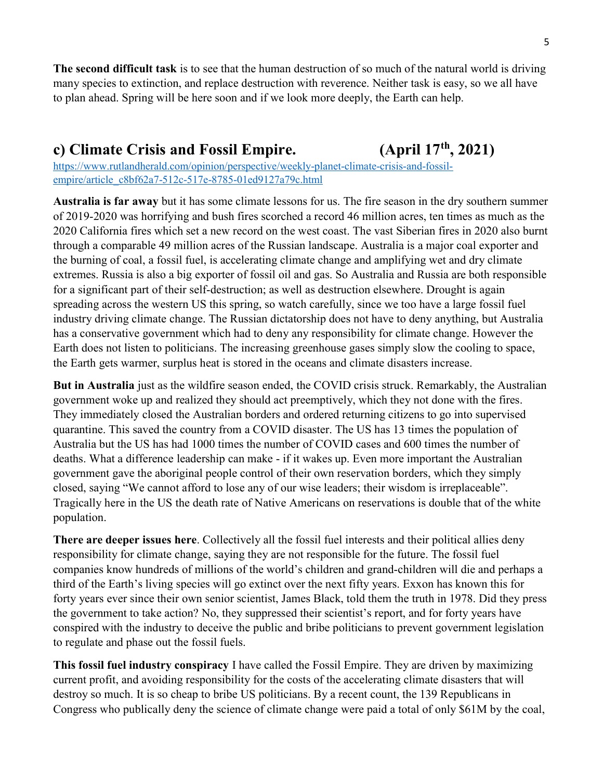The second difficult task is to see that the human destruction of so much of the natural world is driving many species to extinction, and replace destruction with reverence. Neither task is easy, so we all have to plan ahead. Spring will be here soon and if we look more deeply, the Earth can help.

### c) Climate Crisis and Fossil Empire. (April  $17<sup>th</sup>$ , 2021)

https://www.rutlandherald.com/opinion/perspective/weekly-planet-climate-crisis-and-fossilempire/article\_c8bf62a7-512c-517e-8785-01ed9127a79c.html

Australia is far away but it has some climate lessons for us. The fire season in the dry southern summer of 2019-2020 was horrifying and bush fires scorched a record 46 million acres, ten times as much as the 2020 California fires which set a new record on the west coast. The vast Siberian fires in 2020 also burnt through a comparable 49 million acres of the Russian landscape. Australia is a major coal exporter and the burning of coal, a fossil fuel, is accelerating climate change and amplifying wet and dry climate extremes. Russia is also a big exporter of fossil oil and gas. So Australia and Russia are both responsible for a significant part of their self-destruction; as well as destruction elsewhere. Drought is again spreading across the western US this spring, so watch carefully, since we too have a large fossil fuel industry driving climate change. The Russian dictatorship does not have to deny anything, but Australia has a conservative government which had to deny any responsibility for climate change. However the Earth does not listen to politicians. The increasing greenhouse gases simply slow the cooling to space, the Earth gets warmer, surplus heat is stored in the oceans and climate disasters increase.

But in Australia just as the wildfire season ended, the COVID crisis struck. Remarkably, the Australian government woke up and realized they should act preemptively, which they not done with the fires. They immediately closed the Australian borders and ordered returning citizens to go into supervised quarantine. This saved the country from a COVID disaster. The US has 13 times the population of Australia but the US has had 1000 times the number of COVID cases and 600 times the number of deaths. What a difference leadership can make - if it wakes up. Even more important the Australian government gave the aboriginal people control of their own reservation borders, which they simply closed, saying "We cannot afford to lose any of our wise leaders; their wisdom is irreplaceable". Tragically here in the US the death rate of Native Americans on reservations is double that of the white population.

There are deeper issues here. Collectively all the fossil fuel interests and their political allies deny responsibility for climate change, saying they are not responsible for the future. The fossil fuel companies know hundreds of millions of the world's children and grand-children will die and perhaps a third of the Earth's living species will go extinct over the next fifty years. Exxon has known this for forty years ever since their own senior scientist, James Black, told them the truth in 1978. Did they press the government to take action? No, they suppressed their scientist's report, and for forty years have conspired with the industry to deceive the public and bribe politicians to prevent government legislation to regulate and phase out the fossil fuels.

This fossil fuel industry conspiracy I have called the Fossil Empire. They are driven by maximizing current profit, and avoiding responsibility for the costs of the accelerating climate disasters that will destroy so much. It is so cheap to bribe US politicians. By a recent count, the 139 Republicans in Congress who publically deny the science of climate change were paid a total of only \$61M by the coal,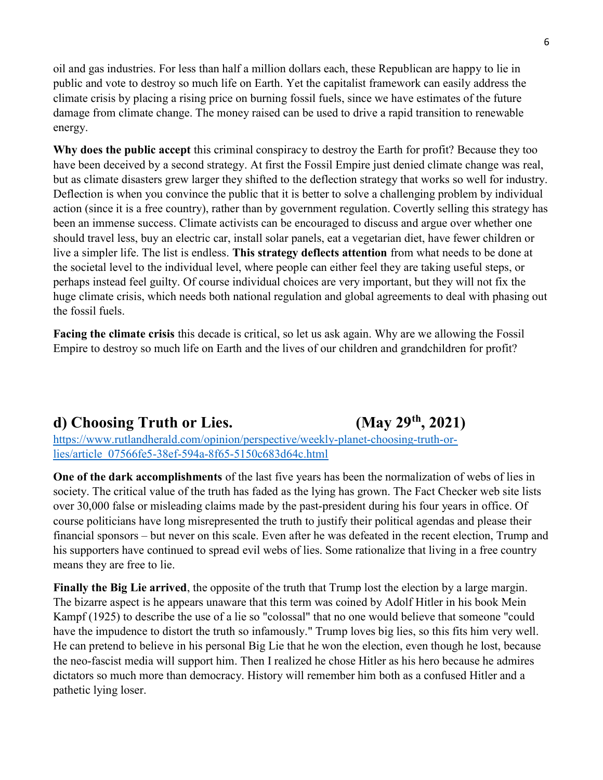oil and gas industries. For less than half a million dollars each, these Republican are happy to lie in public and vote to destroy so much life on Earth. Yet the capitalist framework can easily address the climate crisis by placing a rising price on burning fossil fuels, since we have estimates of the future damage from climate change. The money raised can be used to drive a rapid transition to renewable energy.

Why does the public accept this criminal conspiracy to destroy the Earth for profit? Because they too have been deceived by a second strategy. At first the Fossil Empire just denied climate change was real, but as climate disasters grew larger they shifted to the deflection strategy that works so well for industry. Deflection is when you convince the public that it is better to solve a challenging problem by individual action (since it is a free country), rather than by government regulation. Covertly selling this strategy has been an immense success. Climate activists can be encouraged to discuss and argue over whether one should travel less, buy an electric car, install solar panels, eat a vegetarian diet, have fewer children or live a simpler life. The list is endless. This strategy deflects attention from what needs to be done at the societal level to the individual level, where people can either feel they are taking useful steps, or perhaps instead feel guilty. Of course individual choices are very important, but they will not fix the huge climate crisis, which needs both national regulation and global agreements to deal with phasing out the fossil fuels.

Facing the climate crisis this decade is critical, so let us ask again. Why are we allowing the Fossil Empire to destroy so much life on Earth and the lives of our children and grandchildren for profit?

## d) Choosing Truth or Lies.  $(Mav 29<sup>th</sup>, 2021)$

https://www.rutlandherald.com/opinion/perspective/weekly-planet-choosing-truth-orlies/article\_07566fe5-38ef-594a-8f65-5150c683d64c.html

One of the dark accomplishments of the last five years has been the normalization of webs of lies in society. The critical value of the truth has faded as the lying has grown. The Fact Checker web site lists over 30,000 false or misleading claims made by the past-president during his four years in office. Of course politicians have long misrepresented the truth to justify their political agendas and please their financial sponsors – but never on this scale. Even after he was defeated in the recent election, Trump and his supporters have continued to spread evil webs of lies. Some rationalize that living in a free country means they are free to lie.

Finally the Big Lie arrived, the opposite of the truth that Trump lost the election by a large margin. The bizarre aspect is he appears unaware that this term was coined by Adolf Hitler in his book Mein Kampf (1925) to describe the use of a lie so "colossal" that no one would believe that someone "could have the impudence to distort the truth so infamously." Trump loves big lies, so this fits him very well. He can pretend to believe in his personal Big Lie that he won the election, even though he lost, because the neo-fascist media will support him. Then I realized he chose Hitler as his hero because he admires dictators so much more than democracy. History will remember him both as a confused Hitler and a pathetic lying loser.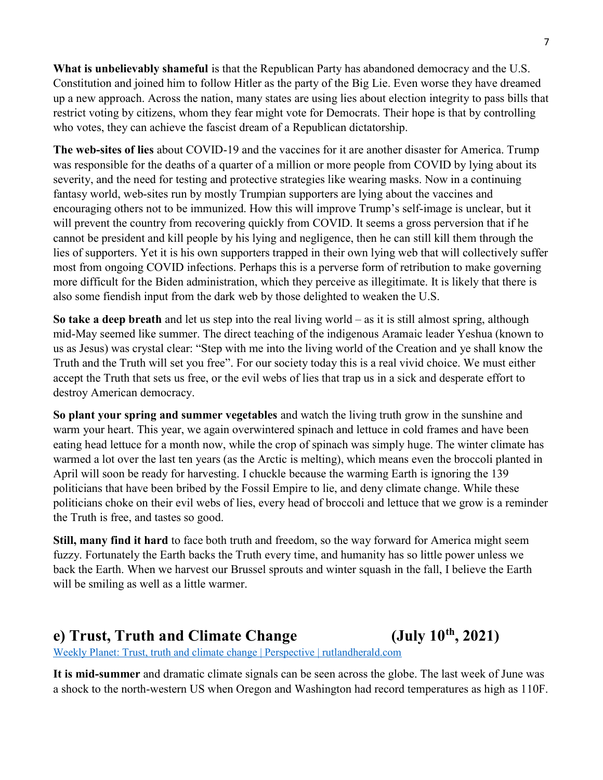What is unbelievably shameful is that the Republican Party has abandoned democracy and the U.S. Constitution and joined him to follow Hitler as the party of the Big Lie. Even worse they have dreamed up a new approach. Across the nation, many states are using lies about election integrity to pass bills that restrict voting by citizens, whom they fear might vote for Democrats. Their hope is that by controlling who votes, they can achieve the fascist dream of a Republican dictatorship.

The web-sites of lies about COVID-19 and the vaccines for it are another disaster for America. Trump was responsible for the deaths of a quarter of a million or more people from COVID by lying about its severity, and the need for testing and protective strategies like wearing masks. Now in a continuing fantasy world, web-sites run by mostly Trumpian supporters are lying about the vaccines and encouraging others not to be immunized. How this will improve Trump's self-image is unclear, but it will prevent the country from recovering quickly from COVID. It seems a gross perversion that if he cannot be president and kill people by his lying and negligence, then he can still kill them through the lies of supporters. Yet it is his own supporters trapped in their own lying web that will collectively suffer most from ongoing COVID infections. Perhaps this is a perverse form of retribution to make governing more difficult for the Biden administration, which they perceive as illegitimate. It is likely that there is also some fiendish input from the dark web by those delighted to weaken the U.S.

So take a deep breath and let us step into the real living world – as it is still almost spring, although mid-May seemed like summer. The direct teaching of the indigenous Aramaic leader Yeshua (known to us as Jesus) was crystal clear: "Step with me into the living world of the Creation and ye shall know the Truth and the Truth will set you free". For our society today this is a real vivid choice. We must either accept the Truth that sets us free, or the evil webs of lies that trap us in a sick and desperate effort to destroy American democracy.

So plant your spring and summer vegetables and watch the living truth grow in the sunshine and warm your heart. This year, we again overwintered spinach and lettuce in cold frames and have been eating head lettuce for a month now, while the crop of spinach was simply huge. The winter climate has warmed a lot over the last ten years (as the Arctic is melting), which means even the broccoli planted in April will soon be ready for harvesting. I chuckle because the warming Earth is ignoring the 139 politicians that have been bribed by the Fossil Empire to lie, and deny climate change. While these politicians choke on their evil webs of lies, every head of broccoli and lettuce that we grow is a reminder the Truth is free, and tastes so good.

Still, many find it hard to face both truth and freedom, so the way forward for America might seem fuzzy. Fortunately the Earth backs the Truth every time, and humanity has so little power unless we back the Earth. When we harvest our Brussel sprouts and winter squash in the fall, I believe the Earth will be smiling as well as a little warmer.

### e) Trust, Truth and Climate Change  $(July 10<sup>th</sup>, 2021)$

Weekly Planet: Trust, truth and climate change | Perspective | rutlandherald.com

It is mid-summer and dramatic climate signals can be seen across the globe. The last week of June was a shock to the north-western US when Oregon and Washington had record temperatures as high as 110F.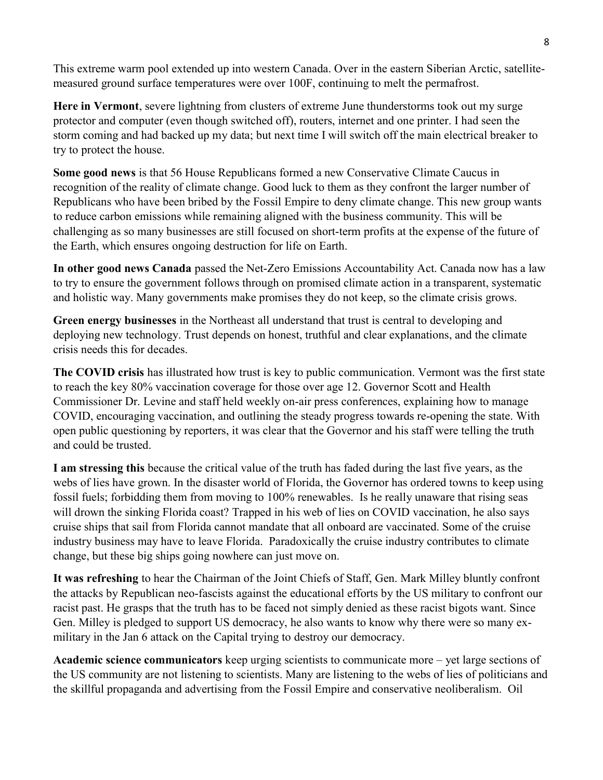This extreme warm pool extended up into western Canada. Over in the eastern Siberian Arctic, satellitemeasured ground surface temperatures were over 100F, continuing to melt the permafrost.

Here in Vermont, severe lightning from clusters of extreme June thunderstorms took out my surge protector and computer (even though switched off), routers, internet and one printer. I had seen the storm coming and had backed up my data; but next time I will switch off the main electrical breaker to try to protect the house.

Some good news is that 56 House Republicans formed a new Conservative Climate Caucus in recognition of the reality of climate change. Good luck to them as they confront the larger number of Republicans who have been bribed by the Fossil Empire to deny climate change. This new group wants to reduce carbon emissions while remaining aligned with the business community. This will be challenging as so many businesses are still focused on short-term profits at the expense of the future of the Earth, which ensures ongoing destruction for life on Earth.

In other good news Canada passed the Net-Zero Emissions Accountability Act. Canada now has a law to try to ensure the government follows through on promised climate action in a transparent, systematic and holistic way. Many governments make promises they do not keep, so the climate crisis grows.

Green energy businesses in the Northeast all understand that trust is central to developing and deploying new technology. Trust depends on honest, truthful and clear explanations, and the climate crisis needs this for decades.

The COVID crisis has illustrated how trust is key to public communication. Vermont was the first state to reach the key 80% vaccination coverage for those over age 12. Governor Scott and Health Commissioner Dr. Levine and staff held weekly on-air press conferences, explaining how to manage COVID, encouraging vaccination, and outlining the steady progress towards re-opening the state. With open public questioning by reporters, it was clear that the Governor and his staff were telling the truth and could be trusted.

I am stressing this because the critical value of the truth has faded during the last five years, as the webs of lies have grown. In the disaster world of Florida, the Governor has ordered towns to keep using fossil fuels; forbidding them from moving to 100% renewables. Is he really unaware that rising seas will drown the sinking Florida coast? Trapped in his web of lies on COVID vaccination, he also says cruise ships that sail from Florida cannot mandate that all onboard are vaccinated. Some of the cruise industry business may have to leave Florida. Paradoxically the cruise industry contributes to climate change, but these big ships going nowhere can just move on.

It was refreshing to hear the Chairman of the Joint Chiefs of Staff, Gen. Mark Milley bluntly confront the attacks by Republican neo-fascists against the educational efforts by the US military to confront our racist past. He grasps that the truth has to be faced not simply denied as these racist bigots want. Since Gen. Milley is pledged to support US democracy, he also wants to know why there were so many exmilitary in the Jan 6 attack on the Capital trying to destroy our democracy.

Academic science communicators keep urging scientists to communicate more – yet large sections of the US community are not listening to scientists. Many are listening to the webs of lies of politicians and the skillful propaganda and advertising from the Fossil Empire and conservative neoliberalism. Oil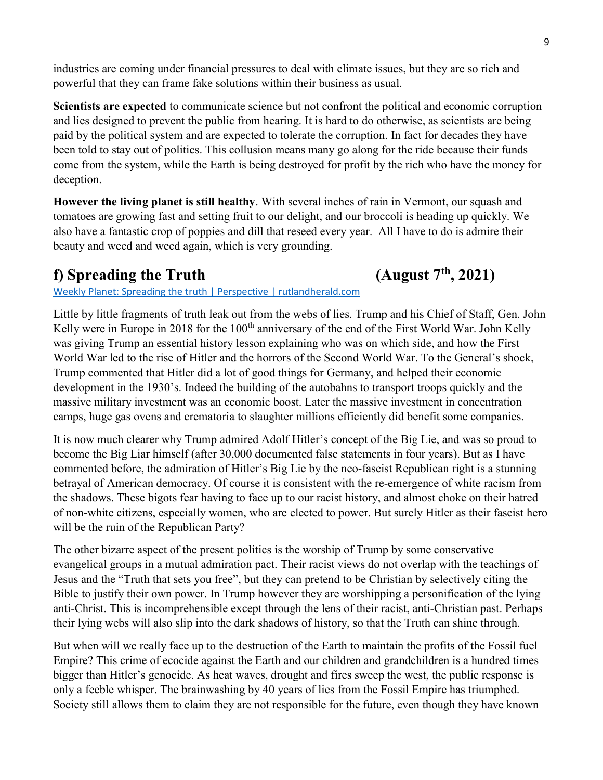industries are coming under financial pressures to deal with climate issues, but they are so rich and powerful that they can frame fake solutions within their business as usual.

Scientists are expected to communicate science but not confront the political and economic corruption and lies designed to prevent the public from hearing. It is hard to do otherwise, as scientists are being paid by the political system and are expected to tolerate the corruption. In fact for decades they have been told to stay out of politics. This collusion means many go along for the ride because their funds come from the system, while the Earth is being destroyed for profit by the rich who have the money for deception.

However the living planet is still healthy. With several inches of rain in Vermont, our squash and tomatoes are growing fast and setting fruit to our delight, and our broccoli is heading up quickly. We also have a fantastic crop of poppies and dill that reseed every year. All I have to do is admire their beauty and weed and weed again, which is very grounding.

## f) Spreading the Truth (August  $7<sup>th</sup>$ , 2021)

#### Weekly Planet: Spreading the truth | Perspective | rutlandherald.com

Little by little fragments of truth leak out from the webs of lies. Trump and his Chief of Staff, Gen. John Kelly were in Europe in 2018 for the 100<sup>th</sup> anniversary of the end of the First World War. John Kelly was giving Trump an essential history lesson explaining who was on which side, and how the First World War led to the rise of Hitler and the horrors of the Second World War. To the General's shock, Trump commented that Hitler did a lot of good things for Germany, and helped their economic development in the 1930's. Indeed the building of the autobahns to transport troops quickly and the massive military investment was an economic boost. Later the massive investment in concentration camps, huge gas ovens and crematoria to slaughter millions efficiently did benefit some companies.

It is now much clearer why Trump admired Adolf Hitler's concept of the Big Lie, and was so proud to become the Big Liar himself (after 30,000 documented false statements in four years). But as I have commented before, the admiration of Hitler's Big Lie by the neo-fascist Republican right is a stunning betrayal of American democracy. Of course it is consistent with the re-emergence of white racism from the shadows. These bigots fear having to face up to our racist history, and almost choke on their hatred of non-white citizens, especially women, who are elected to power. But surely Hitler as their fascist hero will be the ruin of the Republican Party?

The other bizarre aspect of the present politics is the worship of Trump by some conservative evangelical groups in a mutual admiration pact. Their racist views do not overlap with the teachings of Jesus and the "Truth that sets you free", but they can pretend to be Christian by selectively citing the Bible to justify their own power. In Trump however they are worshipping a personification of the lying anti-Christ. This is incomprehensible except through the lens of their racist, anti-Christian past. Perhaps their lying webs will also slip into the dark shadows of history, so that the Truth can shine through.

But when will we really face up to the destruction of the Earth to maintain the profits of the Fossil fuel Empire? This crime of ecocide against the Earth and our children and grandchildren is a hundred times bigger than Hitler's genocide. As heat waves, drought and fires sweep the west, the public response is only a feeble whisper. The brainwashing by 40 years of lies from the Fossil Empire has triumphed. Society still allows them to claim they are not responsible for the future, even though they have known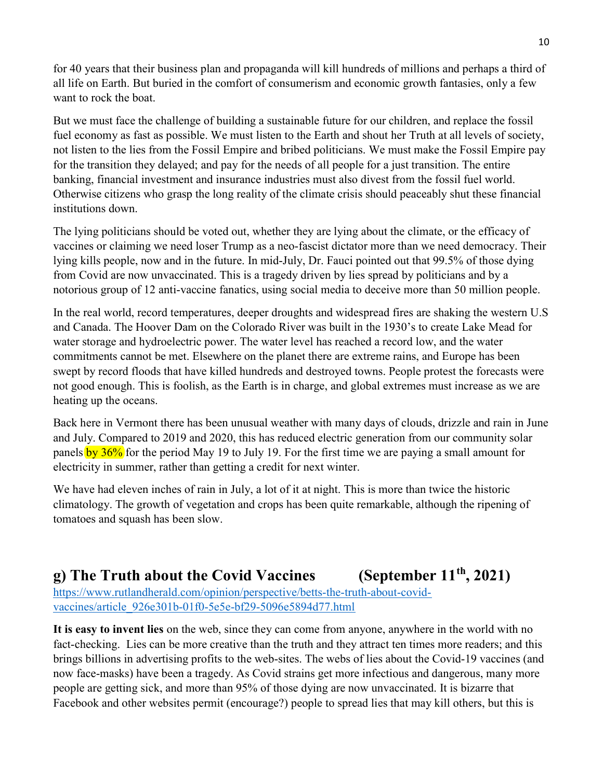for 40 years that their business plan and propaganda will kill hundreds of millions and perhaps a third of all life on Earth. But buried in the comfort of consumerism and economic growth fantasies, only a few want to rock the boat.

But we must face the challenge of building a sustainable future for our children, and replace the fossil fuel economy as fast as possible. We must listen to the Earth and shout her Truth at all levels of society, not listen to the lies from the Fossil Empire and bribed politicians. We must make the Fossil Empire pay for the transition they delayed; and pay for the needs of all people for a just transition. The entire banking, financial investment and insurance industries must also divest from the fossil fuel world. Otherwise citizens who grasp the long reality of the climate crisis should peaceably shut these financial institutions down.

The lying politicians should be voted out, whether they are lying about the climate, or the efficacy of vaccines or claiming we need loser Trump as a neo-fascist dictator more than we need democracy. Their lying kills people, now and in the future. In mid-July, Dr. Fauci pointed out that 99.5% of those dying from Covid are now unvaccinated. This is a tragedy driven by lies spread by politicians and by a notorious group of 12 anti-vaccine fanatics, using social media to deceive more than 50 million people.

In the real world, record temperatures, deeper droughts and widespread fires are shaking the western U.S and Canada. The Hoover Dam on the Colorado River was built in the 1930's to create Lake Mead for water storage and hydroelectric power. The water level has reached a record low, and the water commitments cannot be met. Elsewhere on the planet there are extreme rains, and Europe has been swept by record floods that have killed hundreds and destroyed towns. People protest the forecasts were not good enough. This is foolish, as the Earth is in charge, and global extremes must increase as we are heating up the oceans.

Back here in Vermont there has been unusual weather with many days of clouds, drizzle and rain in June and July. Compared to 2019 and 2020, this has reduced electric generation from our community solar panels by  $36\%$  for the period May 19 to July 19. For the first time we are paying a small amount for electricity in summer, rather than getting a credit for next winter.

We have had eleven inches of rain in July, a lot of it at night. This is more than twice the historic climatology. The growth of vegetation and crops has been quite remarkable, although the ripening of tomatoes and squash has been slow.

# g) The Truth about the Covid Vaccines (September  $11^{th}$ , 2021)

https://www.rutlandherald.com/opinion/perspective/betts-the-truth-about-covidvaccines/article\_926e301b-01f0-5e5e-bf29-5096e5894d77.html

It is easy to invent lies on the web, since they can come from anyone, anywhere in the world with no fact-checking. Lies can be more creative than the truth and they attract ten times more readers; and this brings billions in advertising profits to the web-sites. The webs of lies about the Covid-19 vaccines (and now face-masks) have been a tragedy. As Covid strains get more infectious and dangerous, many more people are getting sick, and more than 95% of those dying are now unvaccinated. It is bizarre that Facebook and other websites permit (encourage?) people to spread lies that may kill others, but this is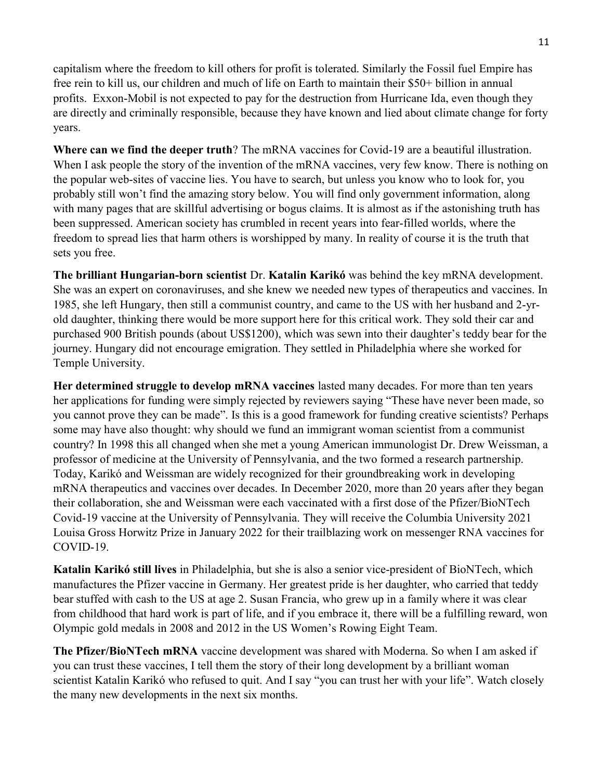capitalism where the freedom to kill others for profit is tolerated. Similarly the Fossil fuel Empire has free rein to kill us, our children and much of life on Earth to maintain their \$50+ billion in annual profits. Exxon-Mobil is not expected to pay for the destruction from Hurricane Ida, even though they are directly and criminally responsible, because they have known and lied about climate change for forty years.

Where can we find the deeper truth? The mRNA vaccines for Covid-19 are a beautiful illustration. When I ask people the story of the invention of the mRNA vaccines, very few know. There is nothing on the popular web-sites of vaccine lies. You have to search, but unless you know who to look for, you probably still won't find the amazing story below. You will find only government information, along with many pages that are skillful advertising or bogus claims. It is almost as if the astonishing truth has been suppressed. American society has crumbled in recent years into fear-filled worlds, where the freedom to spread lies that harm others is worshipped by many. In reality of course it is the truth that sets you free.

The brilliant Hungarian-born scientist Dr. Katalin Karikó was behind the key mRNA development. She was an expert on coronaviruses, and she knew we needed new types of therapeutics and vaccines. In 1985, she left Hungary, then still a communist country, and came to the US with her husband and 2-yrold daughter, thinking there would be more support here for this critical work. They sold their car and purchased 900 British pounds (about US\$1200), which was sewn into their daughter's teddy bear for the journey. Hungary did not encourage emigration. They settled in Philadelphia where she worked for Temple University.

Her determined struggle to develop mRNA vaccines lasted many decades. For more than ten years her applications for funding were simply rejected by reviewers saying "These have never been made, so you cannot prove they can be made". Is this is a good framework for funding creative scientists? Perhaps some may have also thought: why should we fund an immigrant woman scientist from a communist country? In 1998 this all changed when she met a young American immunologist Dr. Drew Weissman, a professor of medicine at the University of Pennsylvania, and the two formed a research partnership. Today, Karikó and Weissman are widely recognized for their groundbreaking work in developing mRNA therapeutics and vaccines over decades. In December 2020, more than 20 years after they began their collaboration, she and Weissman were each vaccinated with a first dose of the Pfizer/BioNTech Covid-19 vaccine at the University of Pennsylvania. They will receive the Columbia University 2021 Louisa Gross Horwitz Prize in January 2022 for their trailblazing work on messenger RNA vaccines for COVID-19.

Katalin Karikó still lives in Philadelphia, but she is also a senior vice-president of BioNTech, which manufactures the Pfizer vaccine in Germany. Her greatest pride is her daughter, who carried that teddy bear stuffed with cash to the US at age 2. Susan Francia, who grew up in a family where it was clear from childhood that hard work is part of life, and if you embrace it, there will be a fulfilling reward, won Olympic gold medals in 2008 and 2012 in the US Women's Rowing Eight Team.

The Pfizer/BioNTech mRNA vaccine development was shared with Moderna. So when I am asked if you can trust these vaccines, I tell them the story of their long development by a brilliant woman scientist Katalin Karikó who refused to quit. And I say "you can trust her with your life". Watch closely the many new developments in the next six months.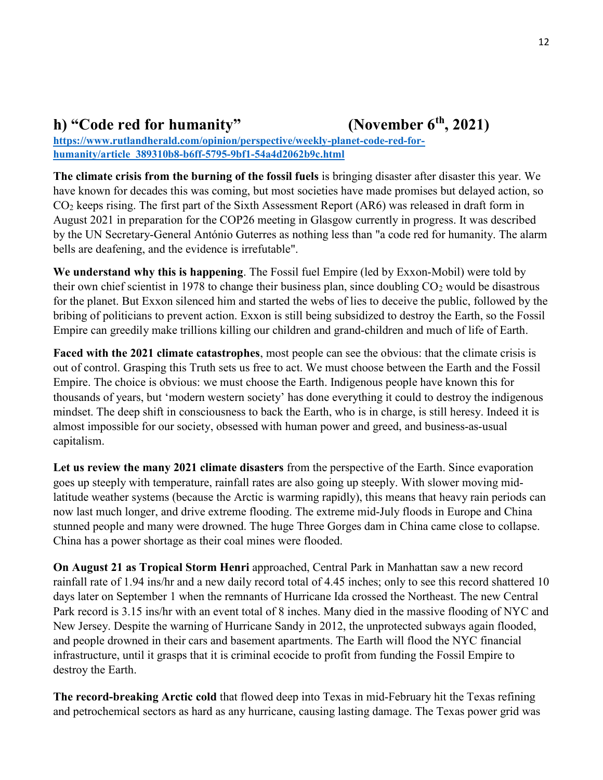#### h) "Code red for humanity" (November  $6<sup>th</sup>$ , 2021)

https://www.rutlandherald.com/opinion/perspective/weekly-planet-code-red-forhumanity/article\_389310b8-b6ff-5795-9bf1-54a4d2062b9c.html

The climate crisis from the burning of the fossil fuels is bringing disaster after disaster this year. We have known for decades this was coming, but most societies have made promises but delayed action, so CO2 keeps rising. The first part of the Sixth Assessment Report (AR6) was released in draft form in August 2021 in preparation for the COP26 meeting in Glasgow currently in progress. It was described by the UN Secretary-General António Guterres as nothing less than "a code red for humanity. The alarm bells are deafening, and the evidence is irrefutable".

We understand why this is happening. The Fossil fuel Empire (led by Exxon-Mobil) were told by their own chief scientist in 1978 to change their business plan, since doubling  $CO<sub>2</sub>$  would be disastrous for the planet. But Exxon silenced him and started the webs of lies to deceive the public, followed by the bribing of politicians to prevent action. Exxon is still being subsidized to destroy the Earth, so the Fossil Empire can greedily make trillions killing our children and grand-children and much of life of Earth.

Faced with the 2021 climate catastrophes, most people can see the obvious: that the climate crisis is out of control. Grasping this Truth sets us free to act. We must choose between the Earth and the Fossil Empire. The choice is obvious: we must choose the Earth. Indigenous people have known this for thousands of years, but 'modern western society' has done everything it could to destroy the indigenous mindset. The deep shift in consciousness to back the Earth, who is in charge, is still heresy. Indeed it is almost impossible for our society, obsessed with human power and greed, and business-as-usual capitalism.

Let us review the many 2021 climate disasters from the perspective of the Earth. Since evaporation goes up steeply with temperature, rainfall rates are also going up steeply. With slower moving midlatitude weather systems (because the Arctic is warming rapidly), this means that heavy rain periods can now last much longer, and drive extreme flooding. The extreme mid-July floods in Europe and China stunned people and many were drowned. The huge Three Gorges dam in China came close to collapse. China has a power shortage as their coal mines were flooded.

On August 21 as Tropical Storm Henri approached, Central Park in Manhattan saw a new record rainfall rate of 1.94 ins/hr and a new daily record total of 4.45 inches; only to see this record shattered 10 days later on September 1 when the remnants of Hurricane Ida crossed the Northeast. The new Central Park record is 3.15 ins/hr with an event total of 8 inches. Many died in the massive flooding of NYC and New Jersey. Despite the warning of Hurricane Sandy in 2012, the unprotected subways again flooded, and people drowned in their cars and basement apartments. The Earth will flood the NYC financial infrastructure, until it grasps that it is criminal ecocide to profit from funding the Fossil Empire to destroy the Earth.

The record-breaking Arctic cold that flowed deep into Texas in mid-February hit the Texas refining and petrochemical sectors as hard as any hurricane, causing lasting damage. The Texas power grid was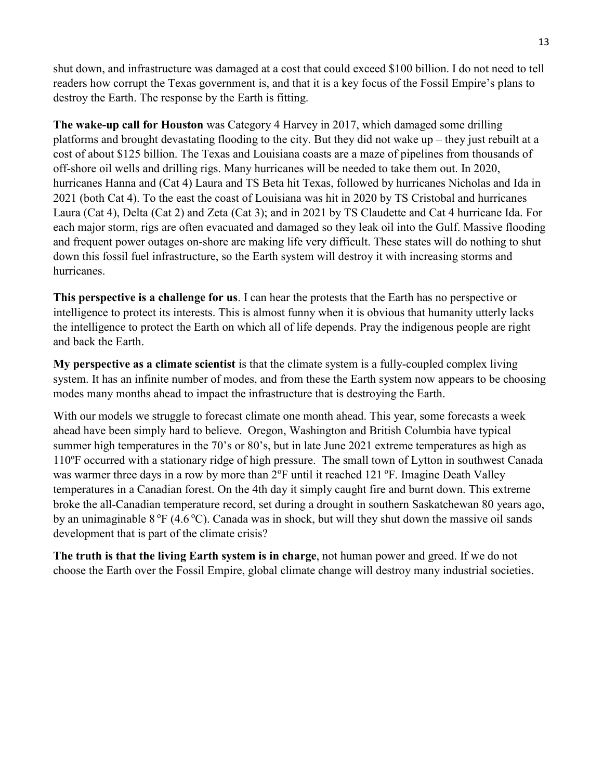shut down, and infrastructure was damaged at a cost that could exceed \$100 billion. I do not need to tell readers how corrupt the Texas government is, and that it is a key focus of the Fossil Empire's plans to destroy the Earth. The response by the Earth is fitting.

The wake-up call for Houston was Category 4 Harvey in 2017, which damaged some drilling platforms and brought devastating flooding to the city. But they did not wake up – they just rebuilt at a cost of about \$125 billion. The Texas and Louisiana coasts are a maze of pipelines from thousands of off-shore oil wells and drilling rigs. Many hurricanes will be needed to take them out. In 2020, hurricanes Hanna and (Cat 4) Laura and TS Beta hit Texas, followed by hurricanes Nicholas and Ida in 2021 (both Cat 4). To the east the coast of Louisiana was hit in 2020 by TS Cristobal and hurricanes Laura (Cat 4), Delta (Cat 2) and Zeta (Cat 3); and in 2021 by TS Claudette and Cat 4 hurricane Ida. For each major storm, rigs are often evacuated and damaged so they leak oil into the Gulf. Massive flooding and frequent power outages on-shore are making life very difficult. These states will do nothing to shut down this fossil fuel infrastructure, so the Earth system will destroy it with increasing storms and hurricanes.

This perspective is a challenge for us. I can hear the protests that the Earth has no perspective or intelligence to protect its interests. This is almost funny when it is obvious that humanity utterly lacks the intelligence to protect the Earth on which all of life depends. Pray the indigenous people are right and back the Earth.

My perspective as a climate scientist is that the climate system is a fully-coupled complex living system. It has an infinite number of modes, and from these the Earth system now appears to be choosing modes many months ahead to impact the infrastructure that is destroying the Earth.

With our models we struggle to forecast climate one month ahead. This year, some forecasts a week ahead have been simply hard to believe. Oregon, Washington and British Columbia have typical summer high temperatures in the 70's or 80's, but in late June 2021 extreme temperatures as high as 110ºF occurred with a stationary ridge of high pressure. The small town of Lytton in southwest Canada was warmer three days in a row by more than  $2^{\circ}F$  until it reached 121 $^{\circ}F$ . Imagine Death Valley temperatures in a Canadian forest. On the 4th day it simply caught fire and burnt down. This extreme broke the all-Canadian temperature record, set during a drought in southern Saskatchewan 80 years ago, by an unimaginable  $8 \text{ }^{\circ}\text{F}$  (4.6 $\text{ }^{\circ}\text{C}$ ). Canada was in shock, but will they shut down the massive oil sands development that is part of the climate crisis?

The truth is that the living Earth system is in charge, not human power and greed. If we do not choose the Earth over the Fossil Empire, global climate change will destroy many industrial societies.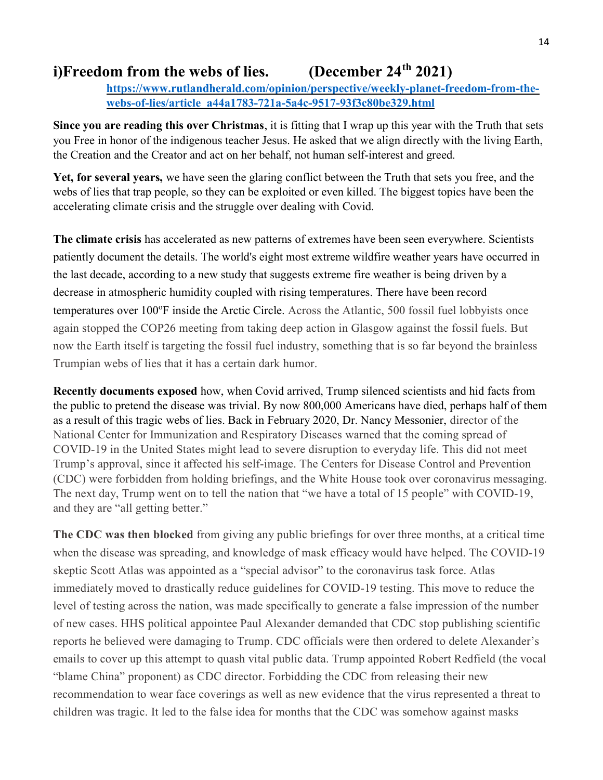# i)Freedom from the webs of lies. (December  $24<sup>th</sup> 2021$ )

https://www.rutlandherald.com/opinion/perspective/weekly-planet-freedom-from-thewebs-of-lies/article\_a44a1783-721a-5a4c-9517-93f3c80be329.html

Since you are reading this over Christmas, it is fitting that I wrap up this year with the Truth that sets you Free in honor of the indigenous teacher Jesus. He asked that we align directly with the living Earth, the Creation and the Creator and act on her behalf, not human self-interest and greed.

Yet, for several years, we have seen the glaring conflict between the Truth that sets you free, and the webs of lies that trap people, so they can be exploited or even killed. The biggest topics have been the accelerating climate crisis and the struggle over dealing with Covid.

The climate crisis has accelerated as new patterns of extremes have been seen everywhere. Scientists patiently document the details. The world's eight most extreme wildfire weather years have occurred in the last decade, according to a new study that suggests extreme fire weather is being driven by a decrease in atmospheric humidity coupled with rising temperatures. There have been record temperatures over 100°F inside the Arctic Circle. Across the Atlantic, 500 fossil fuel lobbyists once again stopped the COP26 meeting from taking deep action in Glasgow against the fossil fuels. But now the Earth itself is targeting the fossil fuel industry, something that is so far beyond the brainless Trumpian webs of lies that it has a certain dark humor.

Recently documents exposed how, when Covid arrived, Trump silenced scientists and hid facts from the public to pretend the disease was trivial. By now 800,000 Americans have died, perhaps half of them as a result of this tragic webs of lies. Back in February 2020, Dr. Nancy Messonier, director of the National Center for Immunization and Respiratory Diseases warned that the coming spread of COVID-19 in the United States might lead to severe disruption to everyday life. This did not meet Trump's approval, since it affected his self-image. The Centers for Disease Control and Prevention (CDC) were forbidden from holding briefings, and the White House took over coronavirus messaging. The next day, Trump went on to tell the nation that "we have a total of 15 people" with COVID-19, and they are "all getting better."

The CDC was then blocked from giving any public briefings for over three months, at a critical time when the disease was spreading, and knowledge of mask efficacy would have helped. The COVID-19 skeptic Scott Atlas was appointed as a "special advisor" to the coronavirus task force. Atlas immediately moved to drastically reduce guidelines for COVID-19 testing. This move to reduce the level of testing across the nation, was made specifically to generate a false impression of the number of new cases. HHS political appointee Paul Alexander demanded that CDC stop publishing scientific reports he believed were damaging to Trump. CDC officials were then ordered to delete Alexander's emails to cover up this attempt to quash vital public data. Trump appointed Robert Redfield (the vocal "blame China" proponent) as CDC director. Forbidding the CDC from releasing their new recommendation to wear face coverings as well as new evidence that the virus represented a threat to children was tragic. It led to the false idea for months that the CDC was somehow against masks